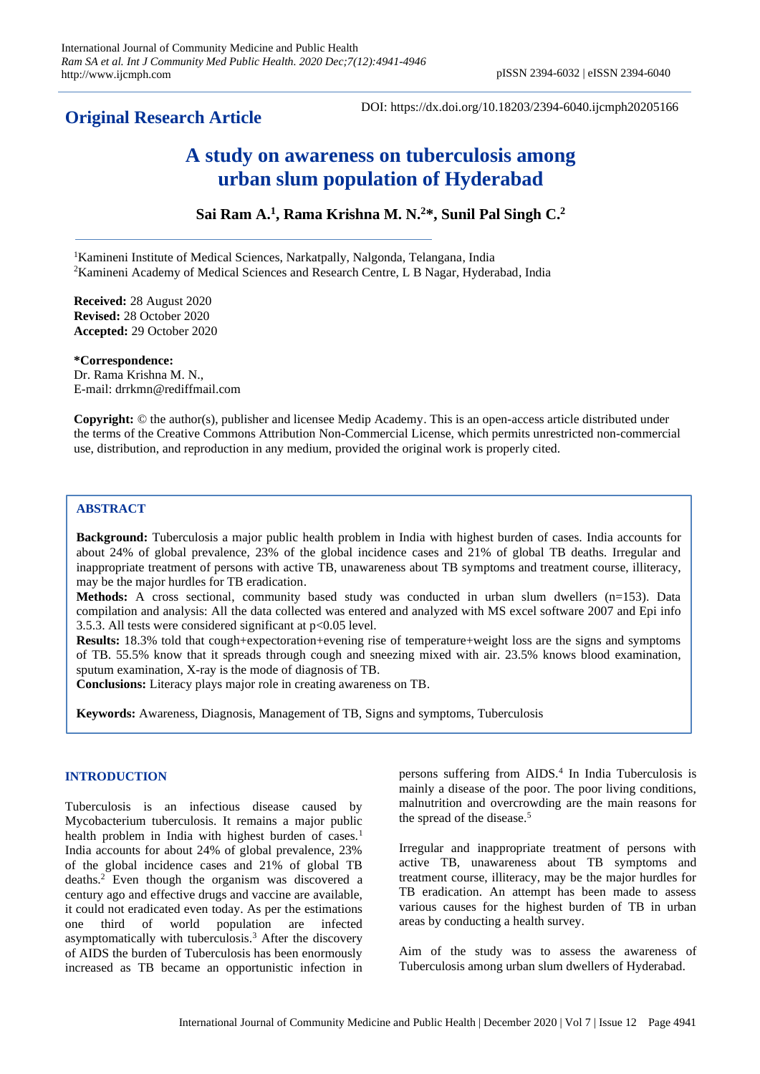## **Original Research Article**

DOI: https://dx.doi.org/10.18203/2394-6040.ijcmph20205166

# **A study on awareness on tuberculosis among urban slum population of Hyderabad**

**Sai Ram A. 1 , Rama Krishna M. N. <sup>2</sup>\*, Sunil Pal Singh C. 2**

<sup>1</sup>Kamineni Institute of Medical Sciences, Narkatpally, Nalgonda, Telangana, India <sup>2</sup>Kamineni Academy of Medical Sciences and Research Centre, L B Nagar, Hyderabad, India

**Received:** 28 August 2020 **Revised:** 28 October 2020 **Accepted:** 29 October 2020

**\*Correspondence:** Dr. Rama Krishna M. N., E-mail: drrkmn@rediffmail.com

**Copyright:** © the author(s), publisher and licensee Medip Academy. This is an open-access article distributed under the terms of the Creative Commons Attribution Non-Commercial License, which permits unrestricted non-commercial use, distribution, and reproduction in any medium, provided the original work is properly cited.

## **ABSTRACT**

**Background:** Tuberculosis a major public health problem in India with highest burden of cases. India accounts for about 24% of global prevalence, 23% of the global incidence cases and 21% of global TB deaths. Irregular and inappropriate treatment of persons with active TB, unawareness about TB symptoms and treatment course, illiteracy, may be the major hurdles for TB eradication.

**Methods:** A cross sectional, community based study was conducted in urban slum dwellers (n=153). Data compilation and analysis: All the data collected was entered and analyzed with MS excel software 2007 and Epi info 3.5.3. All tests were considered significant at p<0.05 level.

**Results:** 18.3% told that cough+expectoration+evening rise of temperature+weight loss are the signs and symptoms of TB. 55.5% know that it spreads through cough and sneezing mixed with air. 23.5% knows blood examination, sputum examination, X-ray is the mode of diagnosis of TB.

**Conclusions:** Literacy plays major role in creating awareness on TB.

**Keywords:** Awareness, Diagnosis, Management of TB, Signs and symptoms, Tuberculosis

## **INTRODUCTION**

Tuberculosis is an infectious disease caused by Mycobacterium tuberculosis. It remains a major public health problem in India with highest burden of cases.<sup>1</sup> India accounts for about 24% of global prevalence, 23% of the global incidence cases and 21% of global TB deaths.<sup>2</sup> Even though the organism was discovered a century ago and effective drugs and vaccine are available, it could not eradicated even today. As per the estimations one third of world population are infected asymptomatically with tuberculosis.<sup>3</sup> After the discovery of AIDS the burden of Tuberculosis has been enormously increased as TB became an opportunistic infection in

persons suffering from AIDS.<sup>4</sup> In India Tuberculosis is mainly a disease of the poor. The poor living conditions, malnutrition and overcrowding are the main reasons for the spread of the disease.<sup>5</sup>

Irregular and inappropriate treatment of persons with active TB, unawareness about TB symptoms and treatment course, illiteracy, may be the major hurdles for TB eradication. An attempt has been made to assess various causes for the highest burden of TB in urban areas by conducting a health survey.

Aim of the study was to assess the awareness of Tuberculosis among urban slum dwellers of Hyderabad.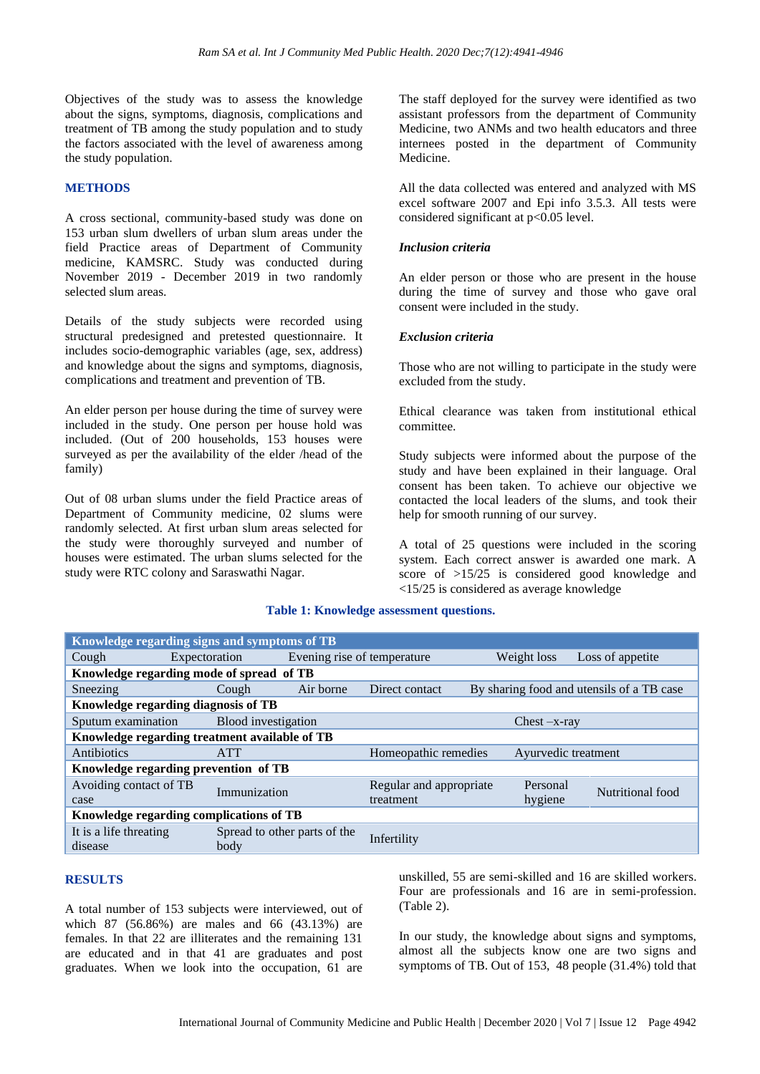Objectives of the study was to assess the knowledge about the signs, symptoms, diagnosis, complications and treatment of TB among the study population and to study the factors associated with the level of awareness among the study population.

#### **METHODS**

A cross sectional, community-based study was done on 153 urban slum dwellers of urban slum areas under the field Practice areas of Department of Community medicine, KAMSRC. Study was conducted during November 2019 - December 2019 in two randomly selected slum areas.

Details of the study subjects were recorded using structural predesigned and pretested questionnaire. It includes socio-demographic variables (age, sex, address) and knowledge about the signs and symptoms, diagnosis, complications and treatment and prevention of TB.

An elder person per house during the time of survey were included in the study. One person per house hold was included. (Out of 200 households, 153 houses were surveyed as per the availability of the elder /head of the family)

Out of 08 urban slums under the field Practice areas of Department of Community medicine, 02 slums were randomly selected. At first urban slum areas selected for the study were thoroughly surveyed and number of houses were estimated. The urban slums selected for the study were RTC colony and Saraswathi Nagar.

The staff deployed for the survey were identified as two assistant professors from the department of Community Medicine, two ANMs and two health educators and three internees posted in the department of Community Medicine.

All the data collected was entered and analyzed with MS excel software 2007 and Epi info 3.5.3. All tests were considered significant at  $p<0.05$  level.

#### *Inclusion criteria*

An elder person or those who are present in the house during the time of survey and those who gave oral consent were included in the study.

#### *Exclusion criteria*

Those who are not willing to participate in the study were excluded from the study.

Ethical clearance was taken from institutional ethical committee.

Study subjects were informed about the purpose of the study and have been explained in their language. Oral consent has been taken. To achieve our objective we contacted the local leaders of the slums, and took their help for smooth running of our survey.

A total of 25 questions were included in the scoring system. Each correct answer is awarded one mark. A score of >15/25 is considered good knowledge and <15/25 is considered as average knowledge

#### **Table 1: Knowledge assessment questions.**

| Knowledge regarding signs and symptoms of TB  |                     |                              |                                                             |  |             |                     |  |  |  |
|-----------------------------------------------|---------------------|------------------------------|-------------------------------------------------------------|--|-------------|---------------------|--|--|--|
| Cough                                         | Expectoration       | Evening rise of temperature  |                                                             |  | Weight loss | Loss of appetite    |  |  |  |
| Knowledge regarding mode of spread of TB      |                     |                              |                                                             |  |             |                     |  |  |  |
| Sneezing                                      | Cough               | Air borne                    | By sharing food and utensils of a TB case<br>Direct contact |  |             |                     |  |  |  |
| Knowledge regarding diagnosis of TB           |                     |                              |                                                             |  |             |                     |  |  |  |
| Sputum examination                            | Blood investigation |                              | $Check -x-ray$                                              |  |             |                     |  |  |  |
| Knowledge regarding treatment available of TB |                     |                              |                                                             |  |             |                     |  |  |  |
| Antibiotics                                   | <b>ATT</b>          |                              | Homeopathic remedies                                        |  |             | Ayurvedic treatment |  |  |  |
| Knowledge regarding prevention of TB          |                     |                              |                                                             |  |             |                     |  |  |  |
| Avoiding contact of TB                        | Immunization        |                              | Regular and appropriate                                     |  | Personal    | Nutritional food    |  |  |  |
| case                                          |                     |                              | treatment                                                   |  | hygiene     |                     |  |  |  |
| Knowledge regarding complications of TB       |                     |                              |                                                             |  |             |                     |  |  |  |
| It is a life threating                        |                     | Spread to other parts of the | Infertility                                                 |  |             |                     |  |  |  |
| disease                                       | body                |                              |                                                             |  |             |                     |  |  |  |

#### **RESULTS**

A total number of 153 subjects were interviewed, out of which 87 (56.86%) are males and 66 (43.13%) are females. In that 22 are illiterates and the remaining 131 are educated and in that 41 are graduates and post graduates. When we look into the occupation, 61 are

unskilled, 55 are semi-skilled and 16 are skilled workers. Four are professionals and 16 are in semi-profession. (Table 2).

In our study, the knowledge about signs and symptoms, almost all the subjects know one are two signs and symptoms of TB. Out of 153, 48 people (31.4%) told that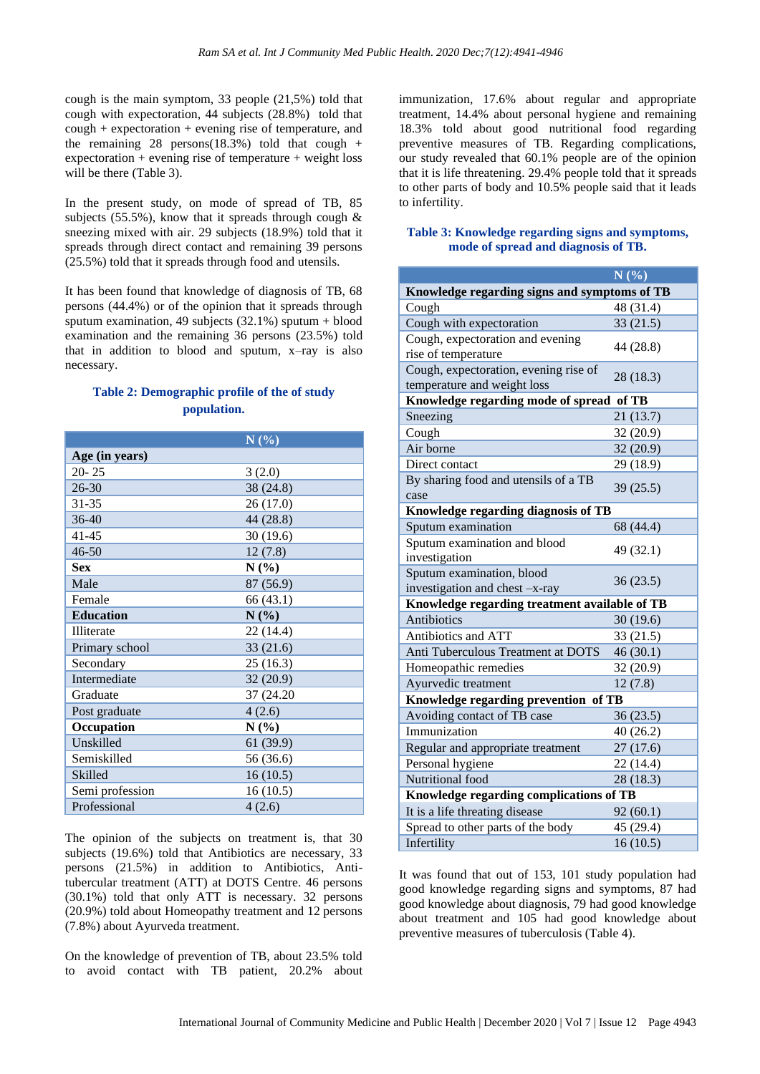cough is the main symptom, 33 people (21,5%) told that cough with expectoration, 44 subjects (28.8%) told that cough + expectoration + evening rise of temperature, and the remaining 28 persons(18.3%) told that cough  $+$ expectoration + evening rise of temperature + weight loss will be there (Table 3).

In the present study, on mode of spread of TB, 85 subjects (55.5%), know that it spreads through cough  $\&$ sneezing mixed with air. 29 subjects (18.9%) told that it spreads through direct contact and remaining 39 persons (25.5%) told that it spreads through food and utensils.

It has been found that knowledge of diagnosis of TB, 68 persons (44.4%) or of the opinion that it spreads through sputum examination, 49 subjects (32.1%) sputum + blood examination and the remaining 36 persons (23.5%) told that in addition to blood and sputum, x–ray is also necessary.

## **Table 2: Demographic profile of the of study population.**

|                  | N(%)      |
|------------------|-----------|
| Age (in years)   |           |
| $20 - 25$        | 3(2.0)    |
| $26 - 30$        | 38 (24.8) |
| $31 - 35$        | 26 (17.0) |
| $36-40$          | 44 (28.8) |
| $41 - 45$        | 30(19.6)  |
| $46 - 50$        | 12(7.8)   |
| <b>Sex</b>       | $N(\%)$   |
| Male             | 87 (56.9) |
| Female           | 66 (43.1) |
| <b>Education</b> | N(%)      |
| Illiterate       | 22 (14.4) |
| Primary school   | 33(21.6)  |
| Secondary        | 25(16.3)  |
| Intermediate     | 32 (20.9) |
| Graduate         | 37 (24.20 |
| Post graduate    | 4(2.6)    |
| Occupation       | N(%)      |
| Unskilled        | 61 (39.9) |
| Semiskilled      | 56 (36.6) |
| Skilled          | 16(10.5)  |
| Semi profession  | 16(10.5)  |
| Professional     | 4(2.6)    |

The opinion of the subjects on treatment is, that 30 subjects (19.6%) told that Antibiotics are necessary, 33 persons (21.5%) in addition to Antibiotics, Antitubercular treatment (ATT) at DOTS Centre. 46 persons (30.1%) told that only ATT is necessary. 32 persons (20.9%) told about Homeopathy treatment and 12 persons (7.8%) about Ayurveda treatment.

On the knowledge of prevention of TB, about 23.5% told to avoid contact with TB patient, 20.2% about

immunization, 17.6% about regular and appropriate treatment, 14.4% about personal hygiene and remaining 18.3% told about good nutritional food regarding preventive measures of TB. Regarding complications, our study revealed that 60.1% people are of the opinion that it is life threatening. 29.4% people told that it spreads to other parts of body and 10.5% people said that it leads to infertility.

## **Table 3: Knowledge regarding signs and symptoms, mode of spread and diagnosis of TB.**

|                                                                      | N(%)      |  |  |  |  |
|----------------------------------------------------------------------|-----------|--|--|--|--|
| Knowledge regarding signs and symptoms of TB                         |           |  |  |  |  |
| Cough                                                                | 48 (31.4) |  |  |  |  |
| Cough with expectoration                                             | 33(21.5)  |  |  |  |  |
| Cough, expectoration and evening<br>rise of temperature              | 44 (28.8) |  |  |  |  |
| Cough, expectoration, evening rise of<br>temperature and weight loss | 28 (18.3) |  |  |  |  |
| Knowledge regarding mode of spread of TB                             |           |  |  |  |  |
| Sneezing                                                             | 21(13.7)  |  |  |  |  |
| Cough                                                                | 32(20.9)  |  |  |  |  |
| Air borne                                                            | 32(20.9)  |  |  |  |  |
| Direct contact                                                       | 29 (18.9) |  |  |  |  |
| By sharing food and utensils of a TB<br>case                         | 39(25.5)  |  |  |  |  |
| Knowledge regarding diagnosis of TB                                  |           |  |  |  |  |
| Sputum examination                                                   | 68 (44.4) |  |  |  |  |
| Sputum examination and blood<br>investigation                        | 49 (32.1) |  |  |  |  |
| Sputum examination, blood<br>investigation and chest -x-ray          | 36(23.5)  |  |  |  |  |
| Knowledge regarding treatment available of TB                        |           |  |  |  |  |
| <b>Antibiotics</b>                                                   | 30(19.6)  |  |  |  |  |
| Antibiotics and ATT                                                  | 33 (21.5) |  |  |  |  |
| Anti Tuberculous Treatment at DOTS                                   | 46(30.1)  |  |  |  |  |
| Homeopathic remedies                                                 | 32 (20.9) |  |  |  |  |
| Ayurvedic treatment                                                  | 12(7.8)   |  |  |  |  |
| Knowledge regarding prevention of TB                                 |           |  |  |  |  |
| Avoiding contact of TB case                                          | 36(23.5)  |  |  |  |  |
| Immunization                                                         | 40 (26.2) |  |  |  |  |
| Regular and appropriate treatment                                    | 27(17.6)  |  |  |  |  |
| Personal hygiene                                                     | 22 (14.4) |  |  |  |  |
| Nutritional food                                                     | 28 (18.3) |  |  |  |  |
| Knowledge regarding complications of TB                              |           |  |  |  |  |
| It is a life threating disease                                       | 92(60.1)  |  |  |  |  |
| Spread to other parts of the body                                    | 45 (29.4) |  |  |  |  |
| Infertility                                                          | 16(10.5)  |  |  |  |  |

It was found that out of 153, 101 study population had good knowledge regarding signs and symptoms, 87 had good knowledge about diagnosis, 79 had good knowledge about treatment and 105 had good knowledge about preventive measures of tuberculosis (Table 4).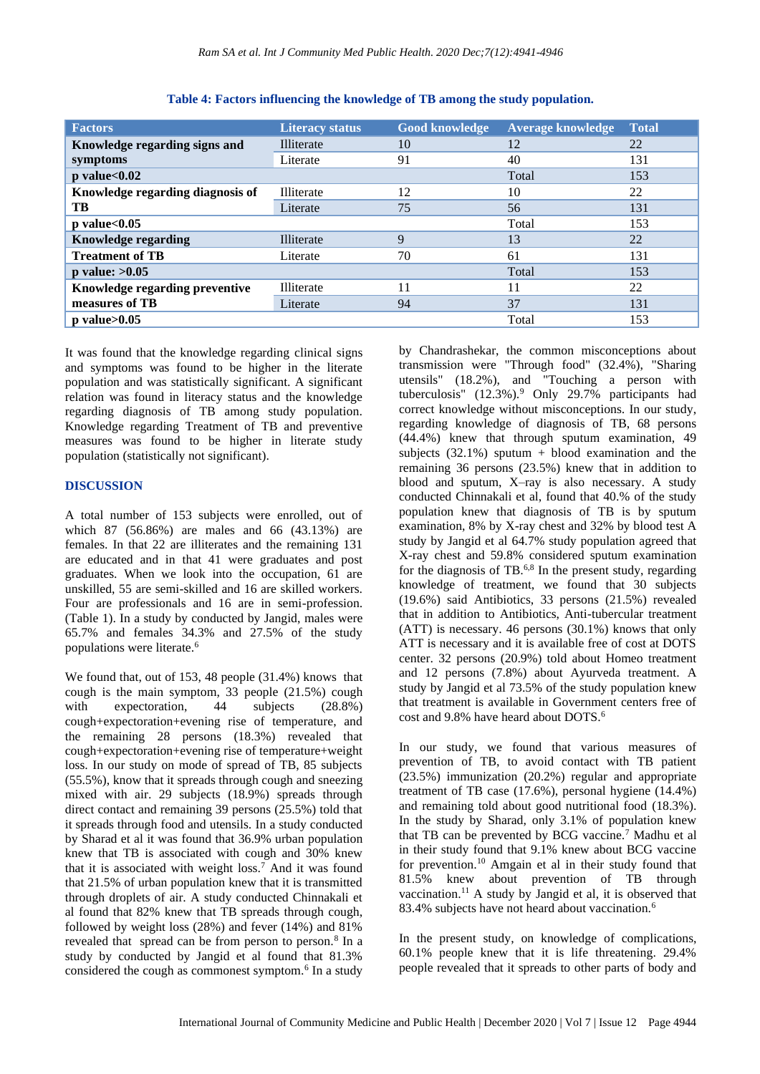| <b>Factors</b>                   | <b>Literacy status</b> | <b>Good knowledge</b> | <b>Average knowledge</b> | <b>Total</b> |
|----------------------------------|------------------------|-----------------------|--------------------------|--------------|
| Knowledge regarding signs and    | <b>Illiterate</b>      | 10                    | 12                       | 22           |
| symptoms                         | Literate               | 91                    | 40                       | 131          |
| $p$ value $< 0.02$               |                        |                       | Total                    | 153          |
| Knowledge regarding diagnosis of | Illiterate             | 12                    | 10                       | 22           |
| TB.                              | Literate               | 75                    | 56                       | 131          |
| $p$ value $< 0.05$               |                        |                       | Total                    | 153          |
| <b>Knowledge regarding</b>       | <b>Illiterate</b>      | 9                     | 13                       | 22           |
| <b>Treatment of TB</b>           | Literate               | 70                    | 61                       | 131          |
| p value: $>0.05$                 |                        |                       | Total                    | 153          |
| Knowledge regarding preventive   | Illiterate             | 11                    | 11                       | 22           |
| measures of TB                   | Literate               | 94                    | 37                       | 131          |
| $p$ value $>0.05$                |                        |                       | Total                    | 153          |

**Table 4: Factors influencing the knowledge of TB among the study population.**

It was found that the knowledge regarding clinical signs and symptoms was found to be higher in the literate population and was statistically significant. A significant relation was found in literacy status and the knowledge regarding diagnosis of TB among study population. Knowledge regarding Treatment of TB and preventive measures was found to be higher in literate study population (statistically not significant).

#### **DISCUSSION**

A total number of 153 subjects were enrolled, out of which 87 (56.86%) are males and 66 (43.13%) are females. In that 22 are illiterates and the remaining 131 are educated and in that 41 were graduates and post graduates. When we look into the occupation, 61 are unskilled, 55 are semi-skilled and 16 are skilled workers. Four are professionals and 16 are in semi-profession. (Table 1). In a study by conducted by Jangid, males were 65.7% and females 34.3% and 27.5% of the study populations were literate.<sup>6</sup>

We found that, out of 153, 48 people (31.4%) knows that cough is the main symptom, 33 people (21.5%) cough with expectoration, 44 subjects (28.8%) cough+expectoration+evening rise of temperature, and the remaining 28 persons (18.3%) revealed that cough+expectoration+evening rise of temperature+weight loss. In our study on mode of spread of TB, 85 subjects (55.5%), know that it spreads through cough and sneezing mixed with air. 29 subjects (18.9%) spreads through direct contact and remaining 39 persons (25.5%) told that it spreads through food and utensils. In a study conducted by Sharad et al it was found that 36.9% urban population knew that TB is associated with cough and 30% knew that it is associated with weight  $loss.<sup>7</sup>$  And it was found that 21.5% of urban population knew that it is transmitted through droplets of air. A study conducted Chinnakali et al found that 82% knew that TB spreads through cough, followed by weight loss (28%) and fever (14%) and 81% revealed that spread can be from person to person.<sup>8</sup> In a study by conducted by Jangid et al found that 81.3% considered the cough as commonest symptom.<sup>6</sup> In a study

by Chandrashekar, the common misconceptions about transmission were "Through food" (32.4%), "Sharing utensils" (18.2%), and "Touching a person with tuberculosis" (12.3%).<sup>9</sup> Only 29.7% participants had correct knowledge without misconceptions. In our study, regarding knowledge of diagnosis of TB, 68 persons (44.4%) knew that through sputum examination, 49 subjects  $(32.1\%)$  sputum + blood examination and the remaining 36 persons (23.5%) knew that in addition to blood and sputum, X–ray is also necessary. A study conducted Chinnakali et al, found that 40.% of the study population knew that diagnosis of TB is by sputum examination, 8% by X-ray chest and 32% by blood test A study by Jangid et al 64.7% study population agreed that X-ray chest and 59.8% considered sputum examination for the diagnosis of TB. $6,8$  In the present study, regarding knowledge of treatment, we found that 30 subjects (19.6%) said Antibiotics, 33 persons (21.5%) revealed that in addition to Antibiotics, Anti-tubercular treatment (ATT) is necessary. 46 persons (30.1%) knows that only ATT is necessary and it is available free of cost at DOTS center. 32 persons (20.9%) told about Homeo treatment and 12 persons (7.8%) about Ayurveda treatment. A study by Jangid et al 73.5% of the study population knew that treatment is available in Government centers free of cost and 9.8% have heard about DOTS.<sup>6</sup>

In our study, we found that various measures of prevention of TB, to avoid contact with TB patient (23.5%) immunization (20.2%) regular and appropriate treatment of TB case (17.6%), personal hygiene (14.4%) and remaining told about good nutritional food (18.3%). In the study by Sharad, only 3.1% of population knew that TB can be prevented by BCG vaccine.<sup>7</sup> Madhu et al in their study found that 9.1% knew about BCG vaccine for prevention.<sup>10</sup> Amgain et al in their study found that 81.5% knew about prevention of TB through vaccination.<sup>11</sup> A study by Jangid et al, it is observed that 83.4% subjects have not heard about vaccination.<sup>6</sup>

In the present study, on knowledge of complications, 60.1% people knew that it is life threatening. 29.4% people revealed that it spreads to other parts of body and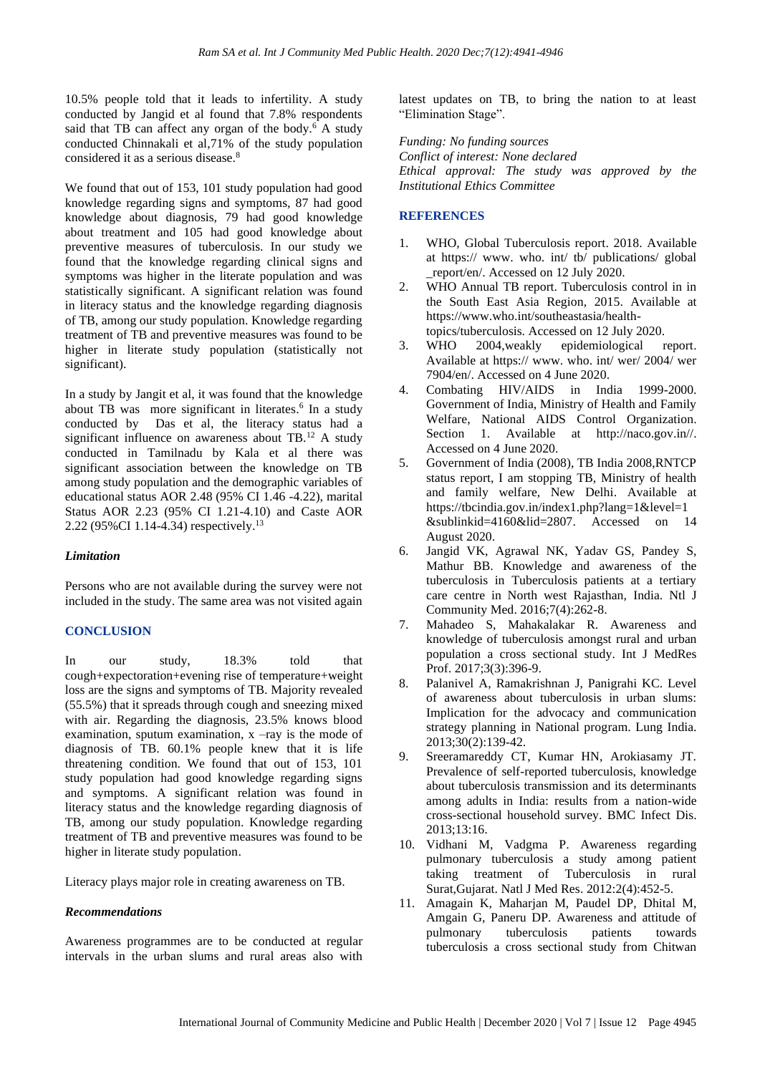10.5% people told that it leads to infertility. A study conducted by Jangid et al found that 7.8% respondents said that TB can affect any organ of the body.<sup>6</sup> A study conducted Chinnakali et al,71% of the study population considered it as a serious disease.<sup>8</sup>

We found that out of 153, 101 study population had good knowledge regarding signs and symptoms, 87 had good knowledge about diagnosis, 79 had good knowledge about treatment and 105 had good knowledge about preventive measures of tuberculosis. In our study we found that the knowledge regarding clinical signs and symptoms was higher in the literate population and was statistically significant. A significant relation was found in literacy status and the knowledge regarding diagnosis of TB, among our study population. Knowledge regarding treatment of TB and preventive measures was found to be higher in literate study population (statistically not significant).

In a study by Jangit et al, it was found that the knowledge about TB was more significant in literates. 6 In a study conducted by Das et al, the literacy status had a significant influence on awareness about TB.<sup>12</sup> A study conducted in Tamilnadu by Kala et al there was significant association between the knowledge on TB among study population and the demographic variables of educational status AOR 2.48 (95% CI 1.46 -4.22), marital Status AOR 2.23 (95% CI 1.21-4.10) and Caste AOR 2.22 (95%CI 1.14-4.34) respectively.<sup>13</sup>

## *Limitation*

Persons who are not available during the survey were not included in the study. The same area was not visited again

## **CONCLUSION**

In our study, 18.3% told that cough+expectoration+evening rise of temperature+weight loss are the signs and symptoms of TB. Majority revealed (55.5%) that it spreads through cough and sneezing mixed with air. Regarding the diagnosis, 23.5% knows blood examination, sputum examination,  $x - ray$  is the mode of diagnosis of TB. 60.1% people knew that it is life threatening condition. We found that out of 153, 101 study population had good knowledge regarding signs and symptoms. A significant relation was found in literacy status and the knowledge regarding diagnosis of TB, among our study population. Knowledge regarding treatment of TB and preventive measures was found to be higher in literate study population.

Literacy plays major role in creating awareness on TB.

## *Recommendations*

Awareness programmes are to be conducted at regular intervals in the urban slums and rural areas also with

latest updates on TB, to bring the nation to at least "Elimination Stage".

*Funding: No funding sources Conflict of interest: None declared Ethical approval: The study was approved by the Institutional Ethics Committee*

## **REFERENCES**

- 1. WHO, Global Tuberculosis report. 2018. Available at https:// www. who. int/ tb/ publications/ global \_report/en/. Accessed on 12 July 2020.
- 2. WHO Annual TB report. Tuberculosis control in in the South East Asia Region, 2015. Available at https://www.who.int/southeastasia/health-
- topics/tuberculosis. Accessed on 12 July 2020.<br>WHO 2004, weakly epidemiological r 3. WHO 2004,weakly epidemiological report. Available at https:// www. who. int/ wer/ 2004/ wer 7904/en/. Accessed on 4 June 2020.
- 4. Combating HIV/AIDS in India 1999-2000. Government of India, Ministry of Health and Family Welfare, National AIDS Control Organization. Section 1. Available at http://naco.gov.in//. Accessed on 4 June 2020.
- 5. Government of India (2008), TB India 2008,RNTCP status report, I am stopping TB, Ministry of health and family welfare, New Delhi. Available at https://tbcindia.gov.in/index1.php?lang=1&level=1 &sublinkid=4160&lid=2807. Accessed on 14 August 2020.
- 6. Jangid VK, Agrawal NK, Yadav GS, Pandey S, Mathur BB. Knowledge and awareness of the tuberculosis in Tuberculosis patients at a tertiary care centre in North west Rajasthan, India. Ntl J Community Med. 2016;7(4):262-8.
- 7. Mahadeo S, Mahakalakar R. Awareness and knowledge of tuberculosis amongst rural and urban population a cross sectional study. Int J MedRes Prof. 2017;3(3):396-9.
- 8. Palanivel A, Ramakrishnan J, Panigrahi KC. Level of awareness about tuberculosis in urban slums: Implication for the advocacy and communication strategy planning in National program. Lung India. 2013;30(2):139-42.
- 9. Sreeramareddy CT, Kumar HN, Arokiasamy JT. Prevalence of self-reported tuberculosis, knowledge about tuberculosis transmission and its determinants among adults in India: results from a nation-wide cross-sectional household survey. BMC Infect Dis. 2013;13:16.
- 10. Vidhani M, Vadgma P. Awareness regarding pulmonary tuberculosis a study among patient taking treatment of Tuberculosis in rural Surat,Gujarat. Natl J Med Res. 2012:2(4):452-5.
- 11. Amagain K, Maharjan M, Paudel DP, Dhital M, Amgain G, Paneru DP. Awareness and attitude of pulmonary tuberculosis patients towards tuberculosis a cross sectional study from Chitwan